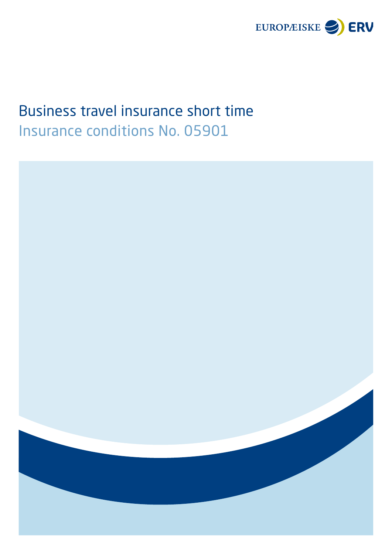

# Business travel insurance short time Insurance conditions No. 05901

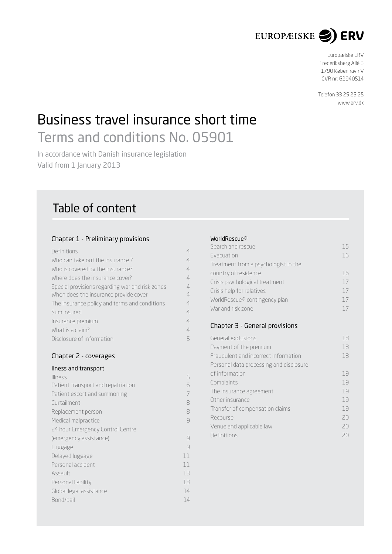

Europæiske ERV Frederiksberg Allé 3 1790 København V CVR nr : 62940514

Telefon 33 25 25 25 [www.erv.dk](http://www.erv.dk)

# Business travel insurance short time Terms and conditions No. 05901

In accordance with Danish insurance legislation Valid from 1 January 2013

# Table of content

# Chapter 1 - Preliminary provisions

<span id="page-2-0"></span>

| Definitions                                     | 4              |
|-------------------------------------------------|----------------|
| Who can take out the insurance?                 | 4              |
| Who is covered by the insurance?                | $\overline{4}$ |
| Where does the insurance cover?                 | 4              |
| Special provisions regarding war and risk zones | 4              |
| When does the insurance provide cover           | 4              |
| The insurance policy and terms and conditions   | 4              |
| Sum insured                                     | $\overline{4}$ |
| Insurance premium                               | $\overline{4}$ |
| What is a claim?                                | $\overline{4}$ |
| Disclosure of information                       | 5              |

# Chapter 2 - coverages

# Ilness and transport

| <b>Illness</b>                     | 5  |
|------------------------------------|----|
| Patient transport and repatriation | 6  |
| Patient escort and summoning       | 7  |
| Curtailment                        | 8  |
| Replacement person                 | 8  |
| Medical malpractice                | 9  |
| 24 hour Emergency Control Centre   |    |
| (emergency assistance)             | 9  |
| Luggage                            | 9  |
| Delayed luggage                    | 11 |
| Personal accident                  | 11 |
| Assault                            | 13 |
| Personal liability                 | 13 |
| Global legal assistance            | 14 |
| Bond/bail                          | 14 |

## WorldRescue®

| Search and rescue                       | 15 |
|-----------------------------------------|----|
| <b>Evacuation</b>                       | 16 |
| Treatment from a psychologist in the    |    |
| country of residence                    | 16 |
| Crisis psychological treatment          | 17 |
| Crisis help for relatives               | 17 |
| WorldRescue® contingency plan           | 17 |
| War and risk zone                       | 17 |
|                                         |    |
| Chapter 3 - General provisions          |    |
| General exclusions                      | 18 |
| Payment of the premium                  | 18 |
| Fraudulent and incorrect information    | 18 |
| Personal data processing and disclosure |    |
| of information                          | 19 |
| Complaints                              | 19 |
| The insurance agreement                 | 19 |
| Other insurance                         | 19 |
| Transfer of compensation claims         | 19 |
| Recourse                                | 20 |
| Venue and applicable law                | 20 |
| Definitions                             | 20 |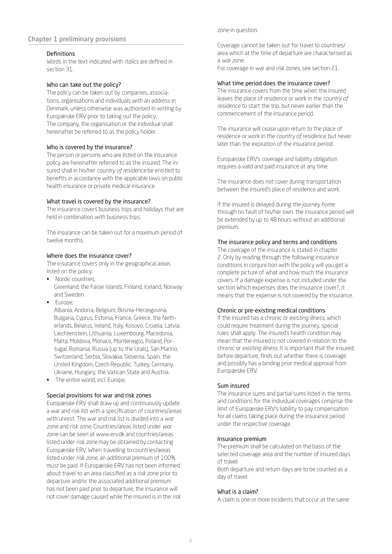Chapter 1 preliminary provisions

#### Definitions

Words in the text indicated with *italics* are defined in section 31.

### Who can take out the policy?

The policy can be taken out by companies, associations, organisations and individuals with an address in Denmark, unless otherwise was authorised in writing by Europæiske ERV prior to taking out the policy. The company, the organisation or the individual shall hereinafter be referred to as the policy holder.

#### Who is covered by the insurance?

The person or persons who are listed on the insurance policy are hereinafter referred to as the insured. The insured shall in his/her *country of residence* be entitled to benefits in accordance with the applicable laws on public health insurance or private medical insurance.

#### What travel is covered by the insurance?

The insurance covers business trips and holidays that are held in combination with business trips.

The insurance can be taken out for a maximum period of twelve months.

## Where does the insurance cover?

The insurance covers only in the geographical areas listed on the policy.

- Nordic countries: Greenland, the Faroe Islands, Finland, Iceland, Norway and Sweden.
- Europe;

 Albania, Andorra, Belgium, Bosnia-Herzegovina, Bulgaria, Cyprus, Estonia, France, Greece, the Netherlands, Belarus, Ireland, Italy, Kosovo, Croatia, Latvia, Liechtenstein, Lithuania, Luxembourg, Macedonia, Malta, Moldova, Monaco, Montenegro, Poland, Portugal, Romania, Russia (up to the Urals), San Marino, Switzerland, Serbia, Slovakia, Slovenia, Spain, the United Kingdom, Czech Republic, Turkey, Germany, Ukraine, Hungary, the Vatican State and Austria.

• The entire world, incl. Europe;

#### Special provisions for war and risk zones

Europæiske ERV shall draw up and continuously update a war and risk list with a specification of countries/areas with unrest. The war and risk list is divided into a *war zone* and *risk zone*. Countries/areas listed under *war zone* can be seen at www.erv.dk and countries/areas listed under *risk zone* may be obtained by contacting Europæiske ERV. When travelling to countries/areas listed under *risk zone*, an additional premium of 100% must be paid. If Europæiske ERV has not been informed about travel to an area classified as a *risk zone* prior to departure and/or the associated additional premium has not been paid prior to departure, the insurance will not cover damage caused while the insured is in the *risk* 

*zone* in question.

Coverage cannot be taken out for travel to countries/ area which at the time of departure are characterised as a *war zone*.

For coverage in war and *risk zones*, see section 21.

### What time period does the insurance cover?

The insurance covers from the time when the insured leaves the place of residence or work in the *country of residence* to start the trip, but never earlier than the commencement of the insurance period.

The insurance will cease upon return to the place of residence or work in the *country of residence*, but never later than the expiration of the insurance period.

Europæiske ERV's coverage and liability obligation requires a valid and paid insurance at any time.

The insurance does not cover during transportation between the insured's place of residence and work.

If the insured is delayed during *the journey home* through no fault of his/her own, the insurance period will be extended by up to 48 hours without an additional premium.

#### The insurance policy and terms and conditions

The coverage of the insurance is stated in chapter 2. Only by reading through the following insurance conditions in conjunction with the policy will you get a complete picture of what and how much the insurance covers. If a damage expense is not included under the section Which expenses does the insurance cover?, it means that the expense is not covered by the insurance.

## Chronic or pre-existing medical conditions

If the insured has a chronic or *existing illness*, which could require treatment during the journey, special rules shall apply. The insured's health condition may mean that the insured is not covered in relation to the chronic or *existing illness*. It is important that the insured, before departure, finds out whether there is coverage and possibly has a binding prior medical approval from Europæiske ERV.

#### Sum insured

The insurance sums and partial sums listed in the terms and conditions for the individual coverages comprise the limit of Europæiske ERV's liability to pay compensation for all claims taking place during the insurance period under the respective coverage.

#### Insurance premium

The premium shall be calculated on the basis of the selected coverage area and the number of insured days of travel.

Both departure and return days are to be counted as a day of travel.

#### What is a claim?

A claim is one or more incidents that occur at the same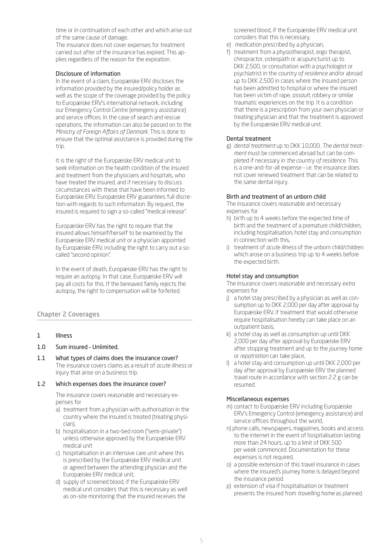time or in continuation of each other and which arise out of the same cause of damage.

The insurance does not cover expenses for treatment carried out after of the insurance has expired. This applies regardless of the reason for the expiration.

## Disclosure of information

In the event of a claim, Europæiske ERV discloses the information provided by the insured/policy holder as well as the scope of the coverage provided by the policy to Europæiske ERV's international network, including our Emergency Control Centre (emergency assistance) and service offices. In the case of search and rescue operations, the information can also be passed on to the *Ministry of Foreign Affairs of Denmark*. This is done to ensure that the optimal assistance is provided during the trip.

It is the right of the Europæiske ERV medical unit to seek information on the health condition of the insured and treatment from the physicians and hospitals, who have treated the insured, and if necessary to discuss circumstances with these that have been informed to Europæiske ERV. Europæiske ERV guarantees full discretion with regards to such information. By request, the insured is required to sign a so-called "medical release".

Europæiske ERV has the right to require that the insured allows himself/herself to be examined by the Europæiske ERV medical unit or a physician appointed by Europæiske ERV, including the right to carry out a socalled "second opinion".

In the event of death, Europæiske ERV has the right to require an autopsy. In that case, Europæiske ERV will pay all costs for this. If the bereaved family rejects the autopsy, the right to compensation will be forfeited.

# Chapter 2 Coverages

- 1 Illness
- 1.0 Sum insured Unlimited.
- 1.1 What types of claims does the insurance cover? The insurance covers claims as a result of *acute illness* or injury that arise on a business trip.

## 1.2 Which expenses does the insurance cover?

The insurance covers reasonable and necessary expenses for

- a) treatment from a physician with authorisation in the country where the insured is treated (treating physician),
- b) hospitalisation in a two-bed room ("semi-private") unless otherwise approved by the Europæiske ERV medical unit
- c) hospitalisation in an intensive care unit where this is prescribed by the Europæiske ERV medical unit or agreed between the attending physician and the Europæiske ERV medical unit,
- d) supply of screened blood, if the Europæiske ERV medical unit considers that this is necessary as well as on-site monitoring that the insured receives the

screened blood, if the Europæiske ERV medical unit considers that this is necessary,

- e) medication prescribed by a physician,
- f) treatment from a physiotherapist, ergo therapist, chiropractor, osteopath or acupuncturist up to DKK 2,500, or consultation with a psychologist or psychiatrist in the *country of residence* and/or abroad up to DKK 2,500 in cases where the insured person has been admitted to hospital or where the insured has been victim of rape, *assault*, robbery or similar traumatic experiences on the trip. It is a condition that there is a prescription from your own physician or treating physician and that the treatment is approved by the Europæiske ERV medical unit.

## Dental treatment

g) *dental treatment* up to DKK 10,000. *The dental treatment* must be commenced abroad but can be completed if necessary in *the country of residence*. This is a one-and-for-all expense – i.e. the insurance does not cover renewed treatment that can be related to the same dental injury.

## Birth and treatment of an unborn child

The insurance covers reasonable and necessary expenses for

- h) birth up to 4 weeks before the expected time of birth and the treatment of a premature child/children, including hospitalisation, hotel stay and consumption in connection with this,
- i) treatment of *acute illness* of the unborn child/children which arose on a business trip up to 4 weeks before the expected birth.

### Hotel stay and consumption

The insurance covers reasonable and necessary *extra expenses* for

- j) a hotel stay prescribed by a physician as well as consumption up to DKK 2,000 per day after approval by Europæiske ERV, if treatment that would otherwise require hospitalisation hereby can take place on an outpatient basis,
- k) a hotel stay as well as consumption up until DKK 2,000 per day after approval by Europæiske ERV after stopping treatment and up to the *journey home* or *repatriation* can take place,
- l) a hotel stay and consumption up until DKK 2,000 per day after approval by Europæiske ERV the planned travel route in accordance with section 2.2 g can be resumed.

## Miscellaneous expenses

- m) contact to Europæiske ERV including Europæiske ERV's Emergency Control (emergency assistance) and service offices throughout the world,
- n) phone calls, newspapers, magazines, books and access to the internet in the event of hospitalisation lasting more than 24 hours, up to a limit of DKK 500 per week commenced. Documentation for these expenses is not required,
- o) a possible extension of this travel insurance in cases where the insured's journey home is delayed beyond the insurance period.
- p) extension of visa if hospitalisation or treatment prevents the insured from *travelling home* as planned.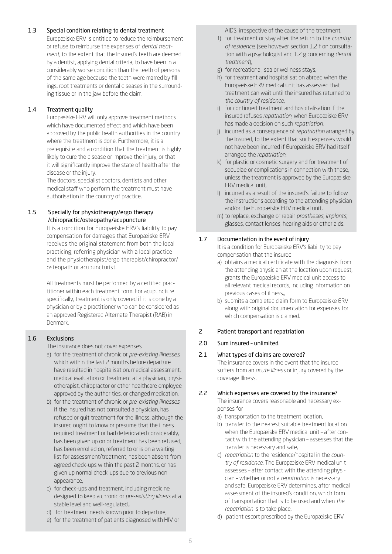# 1.3 Special condition relating to dental treatment

Europæiske ERV is entitled to reduce the reimbursement or refuse to reimburse the expenses of *dental treatment*, to the extent that the Insured's teeth are deemed by a dentist, applying dental criteria, to have been in a considerably worse condition than the teeth of persons of the same age because the teeth were marred by fillings, root treatments or dental diseases in the surrounding tissue or in the jaw before the claim.

# 1.4 Treatment quality

Europæiske ERV will only approve treatment methods which have documented effect and which have been approved by the public health authorities in the country where the treatment is done. Furthermore, it is a prerequisite and a condition that the treatment is highly likely to cure the disease or improve the injury, or that it will significantly improve the state of health after the disease or the injury.

The doctors, specialist doctors, dentists and other medical staff who perform the treatment must have authorisation in the country of practice.

# 1.5 Specially for physiotherapy/ergo therapy /chiropractic/osteopathy/acupuncture

It is a condition for Europæiske ERV's liability to pay compensation for damages that Europæiske ERV receives the original statement from both the local practicing, referring physician with a local practice and the physiotherapist/ergo therapist/chiropractor/ osteopath or acupuncturist.

All treatments must be performed by a certified practitioner within each treatment form. For acupuncture specifically, treatment is only covered if it is done by a physician or by a practitioner who can be considered as an approved Registered Alternate Therapist (RAB) in Denmark.

# 1.6 Exclusions

The insurance does not cover expenses

- a) for the treatment of chronic or *pre-existing illnesses*, which within the last 2 months before departure have resulted in hospitalisation, medical assessment, medical evaluation or treatment at a physician, physiotherapist, chiropractor or other healthcare employee approved by the authorities, or changed medication.
- b) for the treatment of chronic or *pre-existing illnesses*, if the insured has not consulted a physician, has refused or quit treatment for the illness, although the insured ought to know or presume that the illness required treatment or had deteriorated considerably, has been given up on or treatment has been refused, has been enrolled on, referred to or is on a waiting list for assessment/treatment, has been absent from agreed check-ups within the past 2 months, or has given up normal check-ups due to previous nonappearance,
- c) for check-ups and treatment, including medicine designed to keep a chronic or *pre-existing illness* at a stable level and well-regulated,,
- d) for treatment needs known prior to departure,
- e) for the treatment of patients diagnosed with HIV or

AIDS, irrespective of the cause of the treatment,

- f) for treatment or stay after the return to the *country of residence*, (see however section 1.2 f on consultation with a psychologist and 1.2 g concerning *dental treatment*),
- g) for recreational, spa or wellness stays,
- h) for treatment and hospitalisation abroad when the Europæiske ERV medical unit has assessed that treatment can wait until the insured has returned to *the country of residence*,
- i) for continued treatment and hospitalisation if the insured refuses *repatriation*, when Europæiske ERV has made a decision on such *repatriation*,
- j) incurred as a consequence of *repatriation* arranged by the Insured, to the extent that such expenses would not have been incurred if Europæiske ERV had itself arranged the *repatriation*,
- k) for plastic or cosmetic surgery and for treatment of sequelae or complications in connection with these, unless the treatment is approved by the Europæiske ERV medical unit,
- l) incurred as a result of the insured's failure to follow the instructions according to the attending physician and/or the Europæiske ERV medical unit,
- m) to replace, exchange or repair *prostheses*, *implants*, glasses, contact lenses, hearing aids or other aids.

# 1.7 Documentation in the event of injury

It is a condition for Europæiske ERV's liability to pay compensation that the insured

- a) obtains a medical certificate with the diagnosis from the attending physician at the location upon request, grants the Europæiske ERV medical unit access to all relevant medical records, including information on previous cases of illness,,
- b) submits a completed claim form to Europæiske ERV along with original documentation for expenses for which compensation is claimed.

# 2 Patient transport and repatriation

# 2.0 Sum insured – unlimited.

## 2.1 What types of claims are covered?

The insurance covers in the event that the insured suffers from an *acute illness* or injury covered by the coverage Illness.

# 2.2 Which expenses are covered by the insurance?

The insurance covers reasonable and necessary expenses for

- a) transportation to the treatment location,
- b) transfer to the nearest suitable treatment location when the Europæiske ERV medical unit – after contact with the attending physician – assesses that the transfer is necessary and safe,
- c) *repatriation* to the residence/hospital in the *country of residence*. The Europæiske ERV medical unit assesses – after contact with the attending physician – whether or not a *repatriation* is necessary and safe. Europæiske ERV determines, after medical assessment of the insured's condition, which form of transportation that is to be used and when *the repatriation* is to take place,
- d) patient escort prescribed by the Europæiske ERV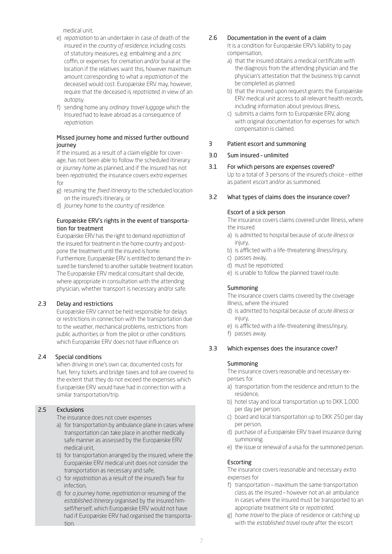medical unit,

- e) *repatriation* to an undertaker in case of death of the insured in the *country of residence*, including costs of statutory measures, e.g. embalming and a zinc coffin, or expenses for cremation and/or burial at the location if the relatives want this, however maximum amount corresponding to what a *repatriation* of the deceased would cost. Europæiske ERV may, however, require that the deceased is *repatriated*, in view of an autopsy.
- f) sending home any *ordinary travel luggage* which the Insured had to leave abroad as a consequence of *repatriation*.

## Missed journey home and missed further outbound journey

If the insured, as a result of a claim eligible for coverage, has not been able to follow the scheduled itinerary or *journey home* as planned, and if the insured has not been *repatriated*, the insurance covers *extra expenses* for

- g) resuming the *fixed itinerary* to the scheduled location on the insured's itinerary, or
- d) *Journey home* to the *country of residence*.

## Europæiske ERV's rights in the event of transportation for treatment

Europæiske ERV has the right to demand *repatriation* of the insured for treatment in the home country and postpone the treatment until the insured is home. Furthermore, Europæiske ERV is entitled to demand the insured be transferred to another suitable treatment location. The Europæiske ERV medical consultant shall decide, where appropriate in consultation with the attending physician, whether transport is necessary and/or safe.

## 2.3 Delay and restrictions

Europæiske ERV cannot be held responsible for delays or restrictions in connection with the transportation due to the weather, mechanical problems, restrictions from public authorities or from the pilot or other conditions which Europæiske ERV does not have influence on.

## 2.4 Special conditions

When driving in one's own car, documented costs for fuel, ferry tickets and bridge taxes and toll are covered to the extent that they do not exceed the expenses which Europæiske ERV would have had in connection with a similar transportation/trip.

# 2.5 Exclusions

The insurance does not cover expenses

- a) for transportation by ambulance plane in cases where transportation can take place in another medically safe manner as assessed by the Europæiske ERV medical unit,
- b) for transportation arranged by the insured, where the Europæiske ERV medical unit does not consider the transportation as necessary and safe,
- c) for *repatriation* as a result of the insured's fear for infection,
- d) for *a journey home*, *repatriation* or resuming of the *established itinerary* organised by the insured himself/herself, which Europæiske ERV would not have had if Europæiske ERV had organised the transportation.

# 2.6 Documentation in the event of a claim

It is a condition for Europæiske ERV's liability to pay compensation,

- a) that the insured obtains a medical certificate with the diagnosis from the attending physician and the physician's attestation that the business trip cannot be completed as planned.
- b) that the insured upon request grants the Europæiske ERV medical unit access to all relevant health records, including information about previous illness,
- c) submits a claims form to Europæiske ERV, along with original documentation for expenses for which compensation is claimed.

## 3 Patient escort and summoning

## 3.0 Sum insured – unlimited

# 3.1 For which persons are expenses covered?

Up to a total of 3 persons of the insured's choice – either as patient escort and/or as summoned.

## 3.2 What types of claims does the insurance cover?

# Escort of a sick person

The insurance covers claims covered under Illness, where the insured

- a) is admitted to hospital because of *acute illness* or injury,
- b) is afflicted with a life-threatening illness/injury,
- c) passes away,
- d) must be *repatriated*,
- e) is unable to follow the planned travel route.

## Summoning

The insurance covers claims covered by the coverage Illness, where the insured

- d) is admitted to hospital because of *acute illness* or injury,
- e) is afflicted with a life-threatening illness/injury,
- f) passes away.

## 3.3 Which expenses does the insurance cover?

## Summoning

The insurance covers reasonable and necessary expenses for

- a) transportation from the residence and return to the residence,
- b) hotel stay and local transportation up to DKK 1,000 per day per person,
- c) board and local transportation up to DKK 250 per day per person,
- d) purchase of a Europæiske ERV travel insurance during summoning.
- e) the issue or renewal of a visa for the summoned person.

## Escorting

The insurance covers reasonable and necessary *extra expenses* for

- f) transportation maximum the same transportation class as the insured – however not an air ambulance in cases where the insured must be transported to an appropriate treatment site or *repatriated*,
- g) *home travel* to the place of residence or catching up with the *established travel route* after the escort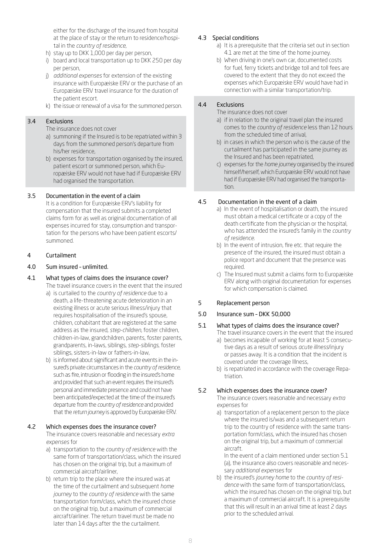either for the discharge of the insured from hospital at the place of stay or the return to residence/hospital in the *country of residence*,

- h) stay up to DKK 1,000 per day per person,
- i) board and local transportation up to DKK 250 per day per person,
- j) *additional expenses* for extension of the existing insurance with Europæiske ERV or the purchase of an Europæiske ERV travel insurance for the duration of the patient escort.
- k) the issue or renewal of a visa for the summoned person.

## 3.4 Exclusions

The insurance does not cover

- a) summoning if the Insured is to be repatriated within 3 days from the summoned person's departure from his/her residence,
- b) expenses for transportation organised by the insured, patient escort or summoned person, which Europæiske ERV would not have had if Europæiske ERV had organised the transportation.

## 3.5 Documentation in the event of a claim

It is a condition for Europæiske ERV's liability for compensation that the insured submits a completed claims form for as well as original documentation of all expenses incurred for stay, consumption and transportation for the persons who have been patient escorts/ summoned.

## 4 Curtailment

## 4.0 Sum insured – unlimited.

- 4.1 What types of claims does the insurance cover? The travel insurance covers in the event that the insured
	- a) is curtailed to the *country of residence* due to a death, a life-threatening acute deterioration in an existing illness or acute serious illness/injury that requires hospitalisation of the insured's spouse, children, cohabitant that are registered at the same address as the insured, *step-children*, foster children, children-in-law, grandchildren, parents, foster parents, grandparents, in-laws, siblings, *step-siblings*, foster siblings, sisters-in-law or fathers-in-law,
	- b) is informed about significant and acute events in the insured's private circumstances in the *country of residence*, such as fire, intrusion or flooding in the insured's home and provided that such an event requires the insured's personal and immediate presence and could not have been anticipated/expected at the time of the insured's departure from the *country of residence* and provided that the *return journey* is approved by Europæiske ERV.

## 4.2 Which expenses does the insurance cover?

The insurance covers reasonable and necessary *extra expenses* for

- a) transportation to the *country of residence* with the same form of transportation/class, which the insured has chosen on the original trip, but a maximum of commercial aircraft/airliner,
- b) return trip to the place where the insured was at the time of the curtailment and subsequent *home journey* to the *country of residence* with the same transportation form/class, which the insured chose on the original trip, but a maximum of commercial aircraft/airliner. The return travel must be made no later than 14 days after the the curtailment.

## 4.3 Special conditions

- a) It is a prerequisite that the criteria set out in section 4.1 are met at the time of the home journey.
- b) When driving in one's own car, documented costs for fuel, ferry tickets and bridge toll and toll fees are covered to the extent that they do not exceed the expenses which Europæiske ERV would have had in connection with a similar transportation/trip.

# 4.4 Exclusions

The insurance does not cover

- a) if in relation to the original travel plan the insured comes to the *country of residence* less than 12 hours from the scheduled time of arrival,
- b) in cases in which the person who is the cause of the curtailment has participated in the same journey as the Insured and has been repatriated,
- c) expenses for the *home journey* organised by the insured himself/herself, which Europæiske ERV would not have had if Europæiske ERV had organised the transportation.

## 4.5 Documentation in the event of a claim

- a) In the event of hospitalisation or death, the insured must obtain a medical certificate or a copy of the death certificate from the physician or the hospital, who has attended the insured's family in the *country of residence*.
- b) In the event of intrusion, fire etc. that require the presence of the insured, the insured must obtain a police report and document that the presence was required.
- c) The Insured must submit a claims form to Europæiske ERV along with original documentation for expenses for which compensation is claimed.

# 5 Replacement person

## 5.0 Insurance sum – DKK 50,000

# 5.1 What types of claims does the insurance cover?

- The travel insurance covers in the event that the insured a) becomes incapable of working for at least 5 consecu-
- tive days as a result of serious *acute illness*/injury or passes away. It is a condition that the incident is covered under the coverage Illness,
- b) is repatriated in accordance with the coverage Repatriation.

## 5.2 Which expenses does the insurance cover?

The insurance covers reasonable and necessary *extra expenses* for

a) transportation of a replacement person to the place where the insured is/was and a subsequent return trip to the country of residence with the same transportation form/class, which the insured has chosen on the original trip, but a maximum of commercial aircraft.

 In the event of a claim mentioned under section 5.1 (a), the insurance also covers reasonable and necessary *additional expenses* for

b) the insured's *journey home* to the *country of residence* with the same form of transportation/class, which the insured has chosen on the original trip, but a maximum of commercial aircraft. It is a prerequisite that this will result in an arrival time at least 2 days prior to the scheduled arrival.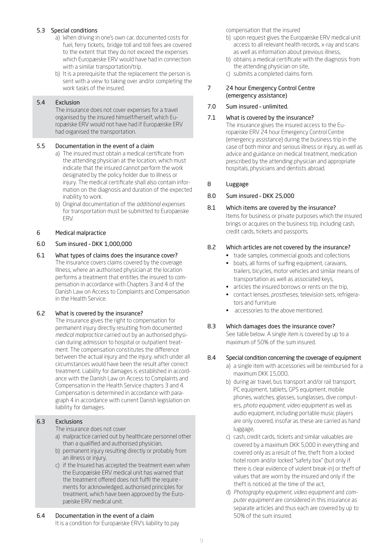## 5.3 Special conditions

- a) When driving in one's own car, documented costs for fuel, ferry tickets, bridge toll and toll fees are covered to the extent that they do not exceed the expenses which Europæiske ERV would have had in connection with a similar transportation/trip.
- b) It is a prerequisite that the replacement the person is sent with a view to taking over and/or completing the work tasks of the insured.

# 5.4 Exclusion

The insurance does not cover expenses for a travel organised by the insured himself/herself, which Europæiske ERV would not have had if Europæiske ERV had organised the transportation.

## 5.5 Documentation in the event of a claim

- a) The insured must obtain a medical certificate from the attending physician at the location, which must indicate that the insured cannot perform the work designated by the policy holder due to illness or injury. The medical certificate shall also contain information on the diagnosis and duration of the expected inability to work.
- b) Original documentation of the *additional expenses* for transportation must be submitted to Europæiske ERV.

## 6 Medical malpractice

## 6.0 Sum insured – DKK 1,000,000

6.1 What types of claims does the insurance cover? The insurance covers claims covered by the coverage Illness, where an authorised physician at the location performs a treatment that entitles the insured to compensation in accordance with Chapters 3 and 4 of the Danish Law on Access to Complaints and Compensation in the Health Service.

# 6.2 What is covered by the insurance?

The insurance gives the right to compensation for permanent injury directly resulting from documented *medical malpractice* carried out by an authorised physician during admission to hospital or outpatient treatment. The compensation constitutes the difference between the actual injury and the injury, which under all circumstances would have been the result after correct treatment. Liability for damages is established in accordance with the Danish Law on Access to Complaints and Compensation in the Health Service chapters 3 and 4. Compensation is determined in accordance with paragraph 4 in accordance with current Danish legislation on liability for damages.

# 6.3 Exclusions

The insurance does not cover

- a) malpractice carried out by healthcare personnel other than a qualified and authorised physician,
- b) permanent injury resulting directly or probably from an illness or injury,
- c) if the Insured has accepted the treatment even when the Europæiske ERV medical unit has warned that the treatment offered does not fulfil the requirements for acknowledged, authorised principles for treatment, which have been approved by the Europæiske ERV medical unit.
- 6.4 Documentation in the event of a claim It is a condition for Europæiske ERV's liability to pay

compensation that the insured

- b) upon request gives the Europæiske ERV medical unit access to all relevant health records, x-ray and scans as well as information about previous illness,
- b) obtains a medical certificate with the diagnosis from the attending physician on site,
- c) submits a completed claims form.

## 7 24 hour Emergency Control Centre (emergency assistance)

# 7.0 Sum insured – unlimited.

## 7.1 What is covered by the insurance?

The insurance gives the insured access to the Europæiske ERV 24 hour Emergency Control Centre (emergency assistance) during the business trip in the case of both minor and serious illness or injury, as well as advice and guidance on medical treatment, medication prescribed by the attending physician and appropriate hospitals, physicians and dentists abroad.

## 8 Luggage

## 8.0 Sum insured – DKK 25,000

8.1 Which items are covered by the insurance? Items for business or private purposes which the insured brings or acquires on the business trip, including cash, credit cards, tickets and passports.

## 8.2 Which articles are not covered by the insurance?

- trade samples, commercial goods and collections
- boats, all forms of surfing equipment, caravans, trailers, bicycles, motor vehicles and similar means of transportation as well as associated keys,
- articles the insured borrows or rents on the trip,
- contact lenses, *prostheses*, television sets, refrigerators and furniture
- accessories to the above mentioned.

#### 8.3 Which damages does the insurance cover? See table below. A single item is covered by up to a maximum of 50% of the sum insured.

## 8.4 Special condition concerning the coverage of equipment

- a) a single item with accessories will be reimbursed for a maximum DKK 15,000,
- b) during air travel, bus transport and/or rail transport, PC equipment, tablets, GPS equipment, mobile phones, watches, glasses, sunglasses, dive computers, *photo equipment*, *video equipment* as well as audio equipment, including portable music players are only covered, insofar as these are carried as hand luggage,
- c) cash, credit cards, tickets and similar valuables are covered by a maximum DKK 5,000 in everything and covered only as a result of fire, theft from a locked hotel room and/or locked "safety box" (but only if there is clear evidence of violent break-in) or theft of values that are worn by the insured and only if the theft is noticed at the time of the act,
- d) *Photography equipment*, *video equipment* and *computer equipment* are considered in this insurance as separate articles and thus each are covered by up to 50% of the sum insured.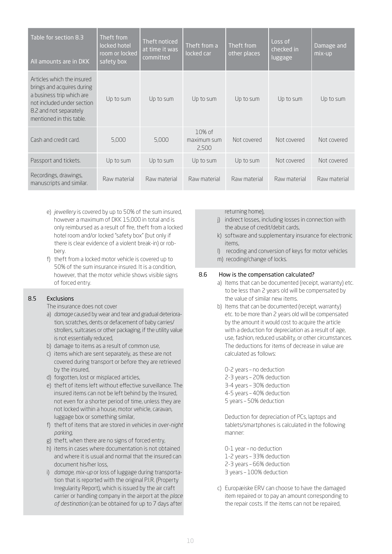| Table for section 8.3<br>All amounts are in DKK                                                                                                                           | Theft from<br>locked hotel<br>room or locked<br>safety box | Theft noticed<br>at time it was<br>committed | Theft from a<br>locked car       | Theft from<br>other places | Loss of<br>checked in<br>luggage | Damage and<br>mix-up |
|---------------------------------------------------------------------------------------------------------------------------------------------------------------------------|------------------------------------------------------------|----------------------------------------------|----------------------------------|----------------------------|----------------------------------|----------------------|
| Articles which the insured<br>brings and acquires during<br>a business trip which are<br>not included under section<br>8.2 and not separately<br>mentioned in this table. | Up to sum                                                  | Up to sum                                    | Up to sum                        | Up to sum                  | Up to sum                        | Up to sum            |
| Cash and credit card.                                                                                                                                                     | 5,000                                                      | 5,000                                        | $10%$ of<br>maximum sum<br>2,500 | Not covered                | Not covered                      | Not covered          |
| Passport and tickets.                                                                                                                                                     | Up to sum                                                  | Up to sum                                    | Up to sum                        | Up to sum                  | Not covered                      | Not covered          |
| Recordings, drawings,<br>manuscripts and similar.                                                                                                                         | Raw material                                               | Raw material                                 | Raw material                     | Raw material               | Raw material                     | Raw material         |

- e) *jewellery* is covered by up to 50% of the sum insured, however a maximum of DKK 15,000 in total and is only reimbursed as a result of fire, theft from a locked hotel room and/or locked "safety box" (but only if there is clear evidence of a violent break-in) or robbery.
- f) theft from a locked motor vehicle is covered up to 50% of the sum insurance insured. It is a condition, however, that the motor vehicle shows visible signs of forced entry.

## 8.5 Exclusions

The insurance does not cover

- a) *damage* caused by wear and tear and gradual deterioration, scratches, dents or defacement of baby carries/ strollers, suitcases or other packaging, if the utility value is not essentially reduced,
- b) damage to items as a result of common use,
- c) items which are sent separately, as these are not covered during transport or before they are retrieved by the insured,
- d) forgotten, lost or misplaced articles,
- e) theft of items left without effective surveillance. The insured items can not be left behind by the Insured, not even for a shorter period of time, unless they are not locked within a house, motor vehicle, caravan, luggage box or something similar,
- f) theft of items that are stored in vehicles in *over-night parking*,
- g) theft, when there are no signs of forced entry,
- h) items in cases where documentation is not obtained and where it is usual and normal that the insured can document his/her loss,
- i) *damage*, *mix-up* or loss of luggage during transportation that is reported with the original P.I.R. (Property Irregularity Report), which is issued by the air craft carrier or handling company in the airport at the *place of destination* (can be obtained for up to 7 days after

returning home),

- j) indirect losses, including losses in connection with the abuse of credit/debit cards,
- k) software and supplementary insurance for electronic items,
- l) recoding and conversion of keys for motor vehicles
- m) recoding/change of locks.

## 8.6 How is the compensation calculated?

- a) Items that can be documented (receipt, warranty) etc. to be less than 2 years old will be compensated by the value of similar new items.
- b) Items that can be documented (receipt, warranty) etc. to be more than 2 years old will be compensated by the amount it would cost to acquire the article with a deduction for depreciation as a result of age, use, fashion, reduced usability, or other circumstances. The deductions for items of decrease in value are calculated as follows:

0-2 years – no deduction 2-3 years – 20% deduction 3-4 years – 30% deduction 4-5 years – 40% deduction 5 years – 50% deduction

 Deduction for depreciation of PCs, laptops and tablets/smartphones is calculated in the following manner:

0-1 year – no deduction 1-2 years – 33% deduction 2-3 years – 66% deduction 3 years – 100% deduction

c) Europæiske ERV can choose to have the damaged item repaired or to pay an amount corresponding to the repair costs. If the items can not be repaired,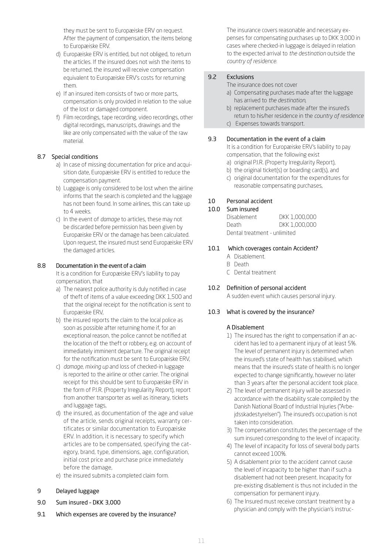they must be sent to Europæiske ERV on request. After the payment of compensation, the items belong to Europæiske ERV.

- d) Europæiske ERV is entitled, but not obliged, to return the articles. If the insured does not wish the items to be returned, the insured will receive compensation equivalent to Europæiske ERV's costs for returning them.
- e) If an insured item consists of two or more parts, compensation is only provided in relation to the value of the lost or damaged component.
- f) Film recordings, tape recording, video recordings, other digital recordings, manuscripts, drawings and the like are only compensated with the value of the raw material.

# 8.7 Special conditions

- a) In case of missing documentation for price and acquisition date, Europæiske ERV is entitled to reduce the compensation payment.
- b) Luggage is only considered to be lost when the airline informs that the search is completed and the luggage has not been found. In some airlines, this can take up to 4 weeks.
- c) In the event of *damage* to articles, these may not be discarded before permission has been given by Europæiske ERV or the damage has been calculated. Upon request, the insured must send Europæiske ERV the damaged articles.

## 8.8 Documentation in the event of a claim

It is a condition for Europæiske ERV's liability to pay compensation, that

- a) The nearest police authority is duly notified in case of theft of items of a value exceeding DKK 1,500 and that the original receipt for the notification is sent to Europæiske ERV,
- b) the insured reports the claim to the local police as soon as possible after returning home if, for an exceptional reason, the police cannot be notified at the location of the theft or robbery, e.g. on account of immediately imminent departure. The original receipt for the notification must be sent to Europæiske ERV,
- c) *damage*, *mixing up* and loss of checked-in luggage is reported to the airline or other carrier. The original receipt for this should be sent to Europæiske ERV in the form of P.I.R. (Property Irregularity Report), report from another transporter as well as itinerary, tickets and luggage tags,
- d) the insured, as documentation of the age and value of the article, sends original receipts, warranty certificates or similar documentation to Europæiske ERV. In addition, it is necessary to specify which articles are to be compensated, specifying the category, brand, type, dimensions, age, configuration, initial cost price and purchase price immediately before the damage,
- e) the insured submits a completed claim form.

#### 9 Delayed luggage

- 9.0 Sum insured DKK 3,000
- 9.1 Which expenses are covered by the insurance?

The insurance covers reasonable and necessary expenses for compensating purchases up to DKK 3,000 in cases where checked-in luggage is delayed in relation to the expected arrival to *the destination* outside the *country of residence*.

# 9.2 Exclusions

The insurance does not cover

- a) Compensating purchases made after the luggage has arrived to *the destination*,
- b) replacement purchases made after the insured's return to his/her residence in the *country of residence*
- c) Expenses towards transport.

## 9.3 Documentation in the event of a claim

It is a condition for Europæiske ERV's liability to pay compensation, that the following exist

- a) original P.I.R. (Property Irregularity Report),
- b) the original ticket(s) or boarding card(s), and
- c) original documentation for the expenditures for reasonable compensating purchases,

## 10 Personal accident

#### 10.0 Sum insured

Disablement DKK 1,000,000 Death DKK 1,000,000 Dental treatment - unlimited

#### 10.1 Which coverages contain Accident?

- A Disablement.
- B Death
- C Dental treatment

## 10.2 Definition of personal accident

A sudden event which causes personal injury.

## 10.3 What is covered by the insurance?

# A Disablement

- 1) The insured has the right to compensation if an accident has led to a permanent injury of at least 5%. The level of permanent injury is determined when the insured's state of health has stabilised, which means that the insured's state of health is no longer expected to change significantly, however no later than 3 years after the personal accident took place.
- 2) The level of permanent injury will be assessed in accordance with the disability scale compiled by the Danish National Board of Industrial Injuries ("Arbejdsskadestyrelsen"). The insured's occupation is not taken into consideration.
- 3) The compensation constitutes the percentage of the sum insured corresponding to the level of incapacity.
- 4) The level of incapacity for loss of several body parts cannot exceed 100%.
- 5) A disablement prior to the accident cannot cause the level of incapacity to be higher than if such a disablement had not been present. Incapacity for pre-existing disablement is thus not included in the compensation for permanent injury.
- 6) The Insured must receive constant treatment by a physician and comply with the physician's instruc-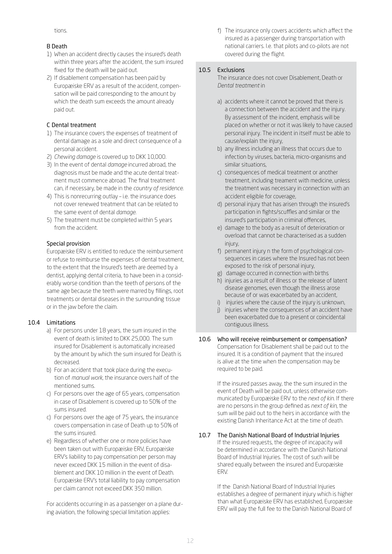tions.

# B Death

- 1) When an accident directly causes the insured's death within three years after the accident, the sum insured fixed for the death will be paid out.
- 2) If disablement compensation has been paid by Europæiske ERV as a result of the accident, compensation will be paid corresponding to the amount by which the death sum exceeds the amount already paid out.

# C Dental treatment

- 1) The insurance covers the expenses of treatment of dental damage as a sole and direct consequence of a personal accident.
- 2) *Chewing damage* is covered up to DKK 10,000.
- 3) In the event of dental *damage* incurred abroad, the diagnosis must be made and the acute dental treatment must commence abroad. The final treatment can, if necessary, be made in the *country of residence*.
- 4) This is nonrecurring outlay i.e. the insurance does not cover renewed treatment that can be related to the same event of dental *damage*.
- 5) The treatment must be completed within 5 years from the accident.

# Special provision

Europæiske ERV is entitled to reduce the reimbursement or refuse to reimburse the expenses of dental treatment, to the extent that the Insured's teeth are deemed by a dentist, applying dental criteria, to have been in a considerably worse condition than the teeth of persons of the same age because the teeth were marred by fillings, root treatments or dental diseases in the surrounding tissue or in the jaw before the claim.

# 10.4 Limitations

- a) For persons under 18 years, the sum insured in the event of death is limited to DKK 25,000. The sum insured for Disablement is automatically increased by the amount by which the sum insured for Death is decreased.
- b) For an accident that took place during the execution of *manual work*, the insurance overs half of the mentioned sums.
- c) For persons over the age of 65 years, compensation in case of Disablement is covered up to 50% of the sums insured.
- c) For persons over the age of 75 years, the insurance covers compensation in case of Death up to 50% of the sums insured.
- e) Regardless of whether one or more policies have been taken out with Europæiske ERV, Europæiske ERV's liability to pay compensation per person may never exceed DKK 15 million in the event of disablement and DKK 10 million in the event of Death. Europæiske ERV's total liability to pay compensation per claim cannot not exceed DKK 350 million.

For accidents occurring in as a passenger on a plane during aviation, the following special limitation applies:

f) The insurance only covers accidents which affect the insured as a passenger during transportation with national carriers. I.e. that pilots and co-pilots are not covered during the flight.

# 10.5 Exclusions

The insurance does not cover Disablement, Death or *Dental treatment* in

- a) accidents where it cannot be proved that there is a connection between the accident and the injury. By assessment of the incident, emphasis will be placed on whether or not it was likely to have caused personal injury. The incident in itself must be able to cause/explain the injury,
- b) any illness including an illness that occurs due to infection by viruses, bacteria, micro-organisms and similar situations,
- c) consequences of medical treatment or another treatment, including treament with medicine, unless the treatment was necessary in connection with an accident eligible for coverage,
- d) personal injury that has arisen through the insured's participation in fights/scuffles and similar or the insured's participation in criminal offences,
- e) damage to the body as a result of deterioration or overload that cannot be characterised as a sudden injury,
- f) permanent injury n the form of psychological consequences in cases where the Insured has not been exposed to the risk of personal injury,
- g) damage occurred in connection with births
- h) injuries as a result of illness or the release of latent disease genomes, even though the illness arose because of or was exacerbated by an accident,
- i) injuries where the cause of the injury is unknown,
- j) injuries where the consequences of an accident have been exacerbated due to a present or coincidental contiguous illness.
- 10.6 Who will receive reimbursement or compensation? Compensation for Disablement shall be paid out to the insured. It is a condition of payment that the insured is alive at the time when the compensation may be required to be paid.

If the insured passes away, the the sum insured in the event of Death will be paid out, unless otherwise communicated by Europæiske ERV to the *next of kin*. If there are no persons in the group defined as *next of kin*, the sum will be paid out to the heirs in accordance with the existing Danish Inheritance Act at the time of death.

#### 10.7 The Danish National Board of Industrial Injuries If the insured requests, the degree of incapacity will be determined in accordance with the Danish National

Board of Industrial Injuries. The cost of such will be shared equally between the insured and Europæiske ERV.

If the Danish National Board of Industrial Injuries establishes a degree of permanent injury which is higher than what Europæiske ERV has established, Europæiske ERV will pay the full fee to the Danish National Board of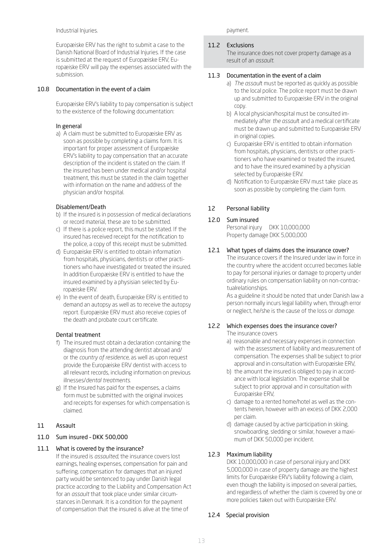Industrial Injuries.

Europæiske ERV has the right to submit a case to the Danish National Board of Industrial Injuries. If the case is submitted at the request of Europæiske ERV, Europæiske ERV will pay the expenses associated with the submission.

### 10.8 Documentation in the event of a claim

Europæiske ERV's liability to pay compensation is subject to the existence of the following documentation:

## In general

a) A claim must be submitted to Europæiske ERV as soon as possible by completing a claims form. It is important for proper assessment of Europæiske ERV's liability to pay compensation that an accurate description of the incident is stated on the claim. If the insured has been under medical and/or hospital treatment, this must be stated in the claim together with information on the name and address of the physician and/or hospital.

#### Disablement/Death

- b) If the insured is in possession of medical declarations or record material, these are to be submitted.
- c) If there is a police report, this must be stated. If the insured has received receipt for the notification to the police, a copy of this receipt must be submitted.
- d) Europæiske ERV is entitled to obtain information from hospitals, physicians, dentists or other practitioners who have investigated or treated the insured. In addition Europæiske ERV is entitled to have the insured examined by a physisian selected by Europæiske ERV.
- e) In the event of death, Europæiske ERV is entitled to demand an autopsy as well as to receive the autopsy report. Europæiske ERV must also receive copies of the death and probate court certificate.

#### Dental treatment

- f) The insured must obtain a declaration containing the diagnosis from the attending dentist abroad and/ or the *country of residence*, as well as upon request provide the Europæiske ERV dentist with access to all relevant records, including information on previous illnesses/*dental treatments*.
- g) If the Insured has paid for the expenses, a claims form must be submitted with the original invoices and receipts for expenses for which compensation is claimed.

## 11 Assault

## 11.0 Sum insured – DKK 500,000

## 11.1 What is covered by the insurance?

If the insured is *assaulted*, the insurance covers lost earnings, healing expenses, compensation for pain and suffering, compensation for damages that an injured party would be sentenced to pay under Danish legal practice according to the Liability and Compensation Act for an *assault* that took place under similar circumstances in Denmark. It is a condition for the payment of compensation that the insured is alive at the time of

payment.

#### 11.2 Exclusions

The insurance does not cover property damage as a result of an *assault*.

#### 11.3 Documentation in the event of a claim

- a) *The assaul*t must be reported as quickly as possible to the local police. The police report must be drawn up and submitted to Europæiske ERV in the original copy.
- b) A local physician/hospital must be consulted immediately after *the assaul*t and a medical certificate must be drawn up and submitted to Europæiske ERV in original copies.
- c) Europæiske ERV is entitled to obtain information from hospitals, physicians, dentists or other practitioners who have examined or treated the insured, and to have the insured examined by a physician selected by Europæiske ERV.
- d) Notification to Europæiske ERV must take place as soon as possible by completing the claim form.

## 12 Personal liability

#### 12.0 Sum insured

Personal injury DKK 10,000,000 Property damage DKK 5,000,000

## 12.1 What types of claims does the insurance cover?

The insurance covers if the Insured under law in force in the country where the accident occurred becomes liable to pay for personal injuries or damage to property under ordinary rules on compensation liability on non-contractualrelationships.

As a guideline it should be noted that under Danish law a person normally incurs legal liability when, through error or neglect, he/she is the cause of the loss or *damage*.

#### 12.2 Which expenses does the insurance cover? The insurance covers

- a) reasonable and necessary expenses in connection with the assessment of liability and measurement of compensation. The expenses shall be subject to prior approval and in consultation with Europæiske ERV,
- b) the amount the insured is obliged to pay in accordance with local legislation. The expense shall be subject to prior approval and in consultation with Europæiske ERV,
- c) damage to a rented home/hotel as well as the contents herein, however with an excess of DKK 2,000 per claim.
- d) damage caused by active participation in skiing, snowboarding, sledding or similar, however a maximum of DKK 50,000 per incident.

## 12.3 Maximum liability

DKK 10,000,000 in case of personal injury and DKK 5,000,000 in case of property damage are the highest limits for Europæiske ERV's liability following a claim, even though the liability is imposed on several parties, and regardless of whether the claim is covered by one or more policies taken out with Europæiske ERV.

## 12.4 Special provision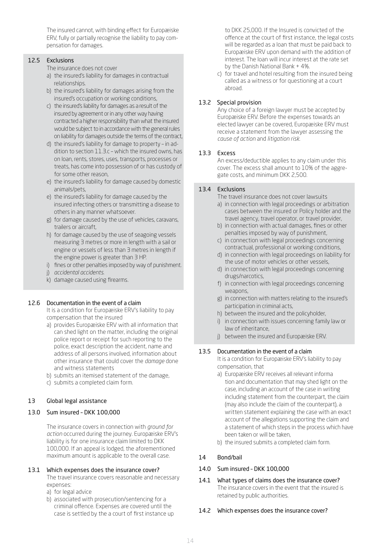The insured cannot, with binding effect for Europæiske ERV, fully or partially recognise the liability to pay compensation for damages.

# 12.5 Exclusions

The insurance does not cover

- a) the insured's liability for damages in contractual relationships.
- b) the insured's liability for damages arising from the insured's occupation or working conditions,
- c) the insured's liability for damages as a result of the insured by agreement or in any other way having contracted a higher responsibility than what the insured would be subject to in accordance with the general rules on liability for damages outside the terms of the contract,
- d) the insured's liability for damage to property in addition to section 11.3.c – which the insured owns, has on loan, rents, stores, uses, transports, processes or treats, has come into possession of or has custody of for some other reason,
- e) the insured's liability for damage caused by domestic animals/pets,
- e) the insured's liability for damage caused by the insured infecting others or transmitting a disease to others in any manner whatsoever.
- g) for damage caused by the use of vehicles, caravans, trailers or aircraft,
- h) for damage caused by the use of seagoing vessels measuring 3 metres or more in length with a sail or engine or vessels of less than 3 metres in length if the engine power is greater than 3 HP.
- i) fines or other penalties imposed by way of punishment.
- j) *accidental accidents*.
- k) damage caused using firearms.

## 12.6 Documentation in the event of a claim

It is a condition for Europæiske ERV's liability to pay compensation that the insured

- a) provides Europæiske ERV with all information that can shed light on the matter, including the original police report or receipt for such reporting to the police, exact description the accident, name and address of all persons involved, information about other insurance that could cover the *damage* done and witness statements
- b) submits an itemised statement of the damage,
- c) submits a completed claim form.

# 13 Global legal assistance

# 13.0 Sum insured – DKK 100,000

The insurance covers in connection with *ground for action* occurred during the journey. Europæiske ERV's liability is for one insurance claim limited to DKK 100,000. If an appeal is lodged, the aforementioned maximum amount is applicable to the overall case.

## 13.1 Which expenses does the insurance cover?

The travel insurance covers reasonable and necessary expenses:

- a) for legal advice
- b) associated with prosecution/sentencing for a criminal offence. Expenses are covered until the case is settled by the a court of first instance up

to DKK 25,000. If the Insured is convicted of the offence at the court of first instance, the legal costs will be regarded as a loan that must be paid back to Europæiske ERV upon demand with the addition of interest. The loan will incur interest at the rate set by the Danish National Bank + 4%.

c) for travel and hotel resulting from the insured being called as a witness or for questioning at a court abroad.

## 13.2 Special provision

Any choice of a foreign lawyer must be accepted by Europæiske ERV. Before the expenses towards an elected lawyer can be covered, Europæiske ERV must receive a statement from the lawyer assessing the *cause of action* and *litigation risk.*

## 13.3 Excess

An excess/deductible applies to any claim under this cover. The excess shall amount to 10% of the aggregate costs, and minimum DKK 2,500.

## 13.4 Exclusions

The travel insurance does not cover lawsuits

- a) in connection with legal proceedings or arbitration cases between the insured or Policy holder and the travel agency, travel operator, or travel provider,
- b) in connection with actual damages, fines or other penalties imposed by way of punishment,
- c) in connection with legal proceedings concerning contractual, professional or working conditions,
- d) in connection with legal proceedings on liability for the use of motor vehicles or other vessels,
- d) in connection with legal proceedings concerning drugs/narcotics,
- f) in connection with legal proceedings concerning weapons,
- g) in connection with matters relating to the insured's participation in criminal acts,
- h) between the insured and the policyholder,
- i) in connection with issues concerning family law or law of inheritance,
- j) between the insured and Europæiske ERV.

# 13.5 Documentation in the event of a claim

It is a condition for Europæiske ERV's liability to pay compensation, that

- a) Europæiske ERV receives all relevant informa tion and documentation that may shed light on the case, including an account of the case in writing including statement from the counterpart, the claim (may also include the claim of the counterpart), a written statement explaining the case with an exact account of the allegations supporting the claim and a statement of which steps in the process which have been taken or will be taken,
- b) the insured submits a completed claim form.

# 14 Bond/bail

## 14.0 Sum insured – DKK 100,000

14.1 What types of claims does the insurance cover? The insurance covers in the event that the insured is retained by public authorities.

## 14.2 Which expenses does the insurance cover?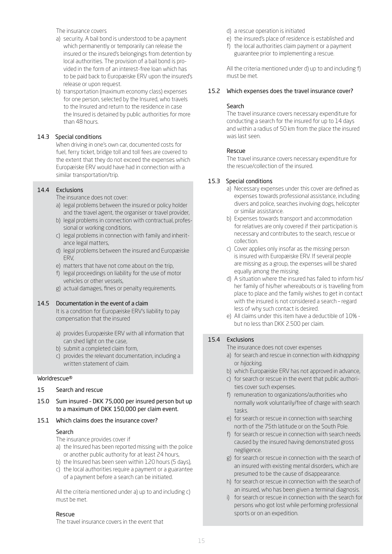The insurance covers

- a) security. A bail bond is understood to be a payment which permanently or temporarily can release the insured or the insured's belongings from detention by local authorities. The provision of a bail bond is provided in the form of an interest-free loan which has to be paid back to Europæiske ERV upon the insured's release or upon request.
- b) transportation (maximum economy class) expenses for one person, selected by the Insured, who travels to the Insured and return to the residence in case the Insured is detained by public authorities for more than 48 hours.

# 14.3 Special conditions

When driving in one's own car, documented costs for fuel, ferry ticket, bridge toll and toll fees are covered to the extent that they do not exceed the expenses which Europæiske ERV would have had in connection with a similar transportation/trip.

## 14.4 Exclusions

The insurance does not cover:

- a) legal problems between the insured or policy holder and the travel agent, the organiser or travel provider,
- b) legal problems in connection with contractual, professional or working conditions,
- c) legal problems in connection with family and inheritance legal matters,
- d) legal problems between the insured and Europæiske ERV,
- e) matters that have not come about on the trip,
- f) legal proceedings on liability for the use of motor vehicles or other vessels,
- g) actual damages, fines or penalty requirements.

## 14.5 Documentation in the event of a claim

It is a condition for Europæiske ERV's liability to pay compensation that the insured

- a) provides Europæiske ERV with all information that can shed light on the case,
- b) submit a completed claim form,
- c) provides the relevant documentation, including a written statement of claim.

## Worldrescue®

- 15 Search and rescue
- 15.0 Sum insured DKK 75,000 per insured person but up to a maximum of DKK 150,000 per claim event.

## 15.1 Which claims does the insurance cover?

## Search

The insurance provides cover if

- a) the Insured has been reported missing with the police or another public authority for at least 24 hours,
- b) the Insured has been seen within 120 hours (5 days),
- c) the local authorities require a payment or a guarantee of a payment before a search can be initiated.

All the criteria mentioned under a) up to and including c) must be met.

#### Rescue

The travel insurance covers in the event that

- d) a rescue operation is initiated
- e) the insured's place of residence is established and
- f) the local authorities claim payment or a payment guarantee prior to implementing a rescue.

All the criteria mentioned under d) up to and including f) must be met.

## 15.2 Which expenses does the travel insurance cover?

## Search

The travel insurance covers necessary expenditure for conducting a search for the insured for up to 14 days and within a radius of 50 km from the place the insured was last seen.

## Rescue

The travel insurance covers necessary expenditure for the rescue/collection of the insured.

## 15.3 Special conditions

- a) Necessary expenses under this cover are defined as expenses towards professional assistance, including divers and police, searches involving dogs, helicopter or similar assistance.
- b) Expenses towards transport and accommodation for relatives are only covered if their participation is necessary and contributes to the search, rescue or collection.
- c) Cover applies only insofar as the missing person is insured with Europæiske ERV. If several people are missing as a group, the expenses will be shared equally among the missing.
- d) A situation where the insured has failed to inform his/ her family of his/her whereabouts or is travelling from place to place and the family wishes to get in contact with the insured is not considered a search – regard less of why such contact is desired.
- e) All claims under this item have a deductible of 10% but no less than DKK 2.500 per claim.

## 15.4 Exclusions

The insurance does not cover expenses

- a) for search and rescue in connection with *kidnapping* or *hijacking*,
- b) which Europæiske ERV has not approved in advance,
- c) for search or rescue in the event that public authorities cover such expenses.
- f) remuneration to organizations/authorities who normally work voluntarily/free of charge with search tasks.
- e) for search or rescue in connection with searching north of the 75th latitude or on the South Pole.
- f) for search or rescue in connection with search needs caused by the insured having demonstrated gross negligence.
- g) for search or rescue in connection with the search of an insured with existing mental disorders, which are presumed to be the cause of disappearance.
- h) for search or rescue in connection with the search of an insured, who has been given a terminal diagnosis.
- i) for search or rescue in connection with the search for persons who got lost while performing professional sports or on an expedition.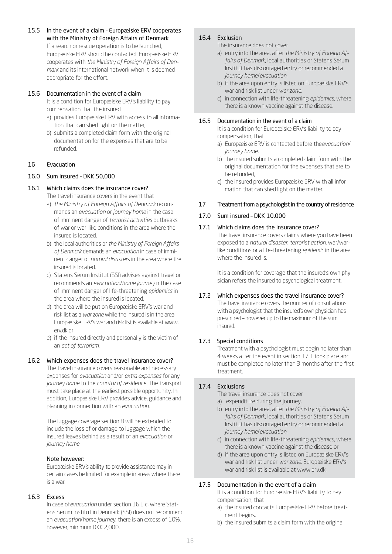15.5 In the event of a claim – Europæiske ERV cooperates with the Ministry of Foreign Affairs of Denmark If a search or rescue operation is to be launched, Europæiske ERV should be contacted. Europæiske ERV cooperates with *the Ministry of Foreign Affairs of Denmark* and its international network when it is deemed appropriate for the effort.

## 15.6 Documentation in the event of a claim

It is a condition for Europæiske ERV's liability to pay compensation that the insured

- a) provides Europæiske ERV with access to all information that can shed light on the matter,
- b) submits a completed claim form with the original documentation for the expenses that are to be refunded.

## 16 Evacuation

# 16.0 Sum insured – DKK 50,000

## 16.1 Which claims does the insurance cover?

The travel insurance covers in the event that

- a) *the Ministry of Foreign Affairs of Denmark* recommends an *evacuation* or *journey home* in the case of imminent danger of *terrorist activities* outbreaks of war or war-like conditions in the area where the insured is located,
- b) the local authorities or *the Ministry of Foreign Affairs of Denmark* demands an *evacuation* in case of imminent danger of *natural disaster*s in the area where the insured is located,
- c) Statens Serum Institut (SSI) advises against travel or recommends an *evacuation*/*home journey* n the case of imminent danger of life-threatening *epidemics* in the area where the insured is located,
- d) the area will be put on Europæiske ERV's war and risk list as a *war zone* while the insured is in the area. Europæiske ERV's war and risk list is available at www. erv.dk or
- e) if the insured directly and personally is the victim of an *act of terrorism*.

# 16.2 Which expenses does the travel insurance cover?

The travel insurance covers reasonable and necessary expenses for *evacuation* and/or *extra expenses* for any *journey home* to the *country of residence*. The transport must take place at the earliest possible opportunity. In addition, Europæiske ERV provides advice, guidance and planning in connection with an *evacuation*.

The luggage coverage section 8 will be extended to include the loss of or damage to luggage which the insured leaves behind as a result of an *evacuation* or *journey home*.

# Note however:

Europæiske ERV's ability to provide assistance may in certain cases be limited for example in areas where there is a war.

## 16.3 Excess

In case of*evacuation* under section 16.1 c, where Statens Serum Institut in Denmark (SSI) does not recommend an *evacuation*/*home journey*, there is an excess of 10%, however, minimum DKK 2,000.

# 16.4 Exclusion

The insurance does not cover

- a) entry into the area, after *the Ministry of Foreign Affairs of Denmark*, local authorities or Statens Serum Institut has discouraged entry or recommended a *journey home*/*evacuation*,
- b) if the area upon entry is listed on Europæiske ERV's war and risk list under *war zone*.
- c) in connection with life-threatening *epidemics*, where there is a known vaccine against the disease.

## 16.5 Documentation in the event of a claim

It is a condition for Europæiske ERV's liability to pay compensation, that

- a) Europæiske ERV is contacted before the*evacuation*/ *journey home*,
- b) the insured submits a completed claim form with the original documentation for the expenses that are to be refunded,
- c) the insured provides Europæiske ERV with all information that can shed light on the matter.

## 17 Treatment from a psychologist in the country of residence

## 17.0 Sum insured – DKK 10,000

## 17.1 Which claims does the insurance cover?

The travel insurance covers claims where you have been exposed to a *natural disaster*, *terrorist action*, war/warlike conditions or a life-threatening *epidemic* in the area where the insured is.

It is a condition for coverage that the insured's own physician refers the insured to psychological treatment.

# 17.2 Which expenses does the travel insurance cover?

The travel insurance covers the number of consultations with a psychologist that the insured's own physician has prescribed – however up to the maximum of the sum insured.

# 17.3 Special conditions

Treatment with a psychologist must begin no later than 4 weeks after the event in section 17.1 took place and must be completed no later than 3 months after the first treatment.

## 17.4 Exclusions

The travel insurance does not cover

- a) expenditure during the journey,
- b) entry into the area, after *the Ministry of Foreign Affairs of Denmark*, local authorities or Statens Serum Institut has discouraged entry or recommended a *journey home*/*evacuation*,
- c) in connection with life-threatening *epidemics*, where there is a known vaccine against the disease or
- d) if the area upon entry is listed on Europæiske ERV's war and risk list under *war zone*. Europæiske ERV's war and risk list is available at www.erv.dk.

## 17.5 Documentation in the event of a claim

It is a condition for Europæiske ERV's liability to pay compensation, that

- a) the insured contacts Europæiske ERV before treatment begins.
- b) the insured submits a claim form with the original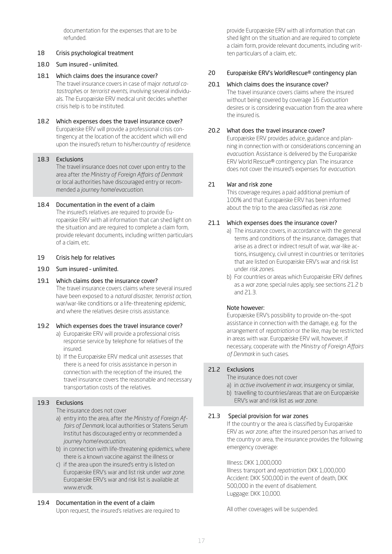documentation for the expenses that are to be refunded.

# 18 Crisis psychological treatment

## 18.0 Sum insured – unlimited.

- 18.1 Which claims does the insurance cover? The travel insurance covers in case of major *natural catastrophe*s or *terrorist events*, involving several individuals. The Europæiske ERV medical unit decides whether crisis help is to be instituted.
- 18.2 Which expenses does the travel insurance cover? Europæiske ERV will provide a professional crisis contingency at the location of the accident which will end upon the insured's return to his/her*country of residence*.

## 18.3 Exclusions

The travel insurance does not cover upon entry to the area after *the Ministry of Foreign Affairs of Denmark* or local authorities have discouraged entry or recommended a *journey home*/*evacuation*.

## 18.4 Documentation in the event of a claim

The insured's relatives are required to provide Europæiske ERV with all information that can shed light on the situation and are required to complete a claim form, provide relevant documents, including written particulars of a claim, etc.

## 19 Crisis help for relatives

# 19.0 Sum insured – unlimited.

19.1 Which claims does the insurance cover? The travel insurance covers claims where several insured have been exposed to a *natural disaster*, *terrorist action*, war/war-like conditions or a life-threatening *epidemic*, and where the relatives desire crisis assistance.

## 19.2 Which expenses does the travel insurance cover?

- a) Europæiske ERV will provide a professional crisis response service by telephone for relatives of the insured.
- b) If the Europæiske ERV medical unit assesses that there is a need for crisis assistance in person in connection with the reception of the insured, the travel insurance covers the reasonable and necessary transportation costs of the relatives.

# 19.3 Exclusions

The insurance does not cover

- a) entry into the area, after *the Ministry of Foreign Affairs of Denmark*, local authorities or Statens Serum Institut has discouraged entry or recommended a *journey home*/*evacuation*,
- b) in connection with life-threatening *epidemics*, where there is a known vaccine against the illness or
- c) if the area upon the insured's entry is listed on Europæiske ERV's war and list risk under *war zone*. Europæiske ERV's war and risk list is available at www.erv.dk.

# 19.4 Documentation in the event of a claim

Upon request, the insured's relatives are required to

provide Europæiske ERV with all information that can shed light on the situation and are required to complete a claim form, provide relevant documents, including written particulars of a claim, etc.

### 20 Europæiske ERV's WorldRescue® contingency plan

### 20.1 Which claims does the insurance cover?

The travel insurance covers claims where the insured without being covered by coverage 16 *Evacuation* desires or is considering evacuation from the area where the insured is.

## 20.2 What does the travel insurance cover?

Europæiske ERV provides advice, guidance and planning in connection with or considerations concerning an *evacuation*. Assistance is delivered by the Europæiske ERV World Rescue® contingency plan. The insurance does not cover the insured's expenses for *evacuation*.

## 21 War and risk zone

This coverage requires a paid additional premium of 100% and that Europæiske ERV has been informed about the trip to the area classified as *risk zone*.

## 21.1 Which expenses does the insurance cover?

- a) The insurance covers, in accordance with the general terms and conditions of the insurance, damages that arise as a direct or indirect result of war, war-like actions, insurgency, civil unrest in countries or territories that are listed on Europæiske ERV's war and risk list under *risk zones*.
- b) For countries or areas which Europæiske ERV defines as a *war zone*, special rules apply, see sections 21.2 b and 21.3.

## Note however:

Europæiske ERV's possibility to provide on-the-spot assistance in connection with the damage, e.g. for the arrangement of *repatriation* or the like, may be restricted in areas with war. Europæiske ERV will, however, if necessary, cooperate with *the Ministry of Foreign Affairs of Denmark* in such cases.

# 21.2 Exclusions

- The insurance does not cover
- a) in *active involvement in war*, insurgency or similar,
- b) travelling to countries/areas that are on Europæiske ERV's war and risk list as *war zone*.

## 21.3 Special provision for war zones

If the country or the area is classified by Europæiske ERV as *war zone*, after the insured person has arrived to the country or area, the insurance provides the following emergency coverage:

#### Illness: DKK 1,000,000

Illness transport and *repatriation*: DKK 1,000,000 Accident: DKK 500,000 in the event of death, DKK 500,000 in the event of disablement. Luggage: DKK 10,000.

All other coverages will be suspended.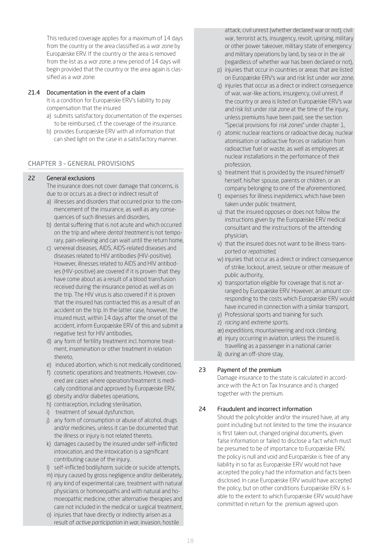This reduced coverage applies for a maximum of 14 days from the country or the area classified as a *war zone* by Europæiske ERV. If the country or the area is removed from the list as a *war zone*, a new period of 14 days will begin provided that the country or the area again is classified as a *war zone*.

## 21.4 Documentation in the event of a claim

It is a condition for Europæiske ERV's liability to pay compensation that the insured

- a) submits satisfactory documentation of the expenses to be reimbursed, cf. the coverage of the insurance.
- b) provides Europæiske ERV with all information that can shed light on the case in a satisfactory manner.

# CHAPTER 3 – GENERAL PROVISIONS

## 22 General exclusions

The insurance does not cover damage that concerns, is due to or occurs as a direct or indirect result of

- a) illnesses and disorders that occurred prior to the commencement of the insurance, as well as any consequences of such illnesses and disorders,
- b) dental suffering that is not acute and which occurred on the trip and where *dental treatment* is not temporary, pain-relieving and can wait until the return home,
- c) venereal diseases, AIDS, AIDS-related diseases and diseases related to HIV antibodies (HIV-positive). However, illnesses related to AIDS and HIV antibodies (HIV-positive) are covered if it is proven that they have come about as a result of a blood transfusion received during the insurance period as well as on the trip. The HIV virus is also covered if it is proven that the insured has contracted this as a result of an accident on the trip. In the latter case, however, the insured must, within 14 days after the onset of the accident, inform Europæiske ERV of this and submit a negative test for HIV antibodies,
- d) any form of fertility treatment incl. hormone treatment, insemination or other treatment in relation thereto,
- e) induced abortion, which is not medically conditioned,
- f) cosmetic operations and treatments. However, covered are cases where operation/treatment is medically conditional and approved by Europæiske ERV,
- g) obesity and/or diabetes operations,
- h) contraception, including sterilisation,
- i) treatment of sexual dysfunction,
- j) any form of consumption or abuse of alcohol, drugs and/or medicines, unless it can be documented that the illness or injury is not related thereto,
- k) damages caused by the insured under self-inflicted intoxication, and the intoxication is a significant contributing cause of the injury,
- l) self-inflicted bodily*harm*, suicide or suicide attempts,
- m) injury caused by gross negligence and/or deliberately,
- n) any kind of experimental care, treatment with natural physicians or homoeopaths and with natural and homoeopathic medicine, other alternative therapies and care not included in the medical or surgical treatment,
- o) injuries that have directly or indirectly arisen as a result of *active participation in war*, invasion, hostile

attack, civil unrest (whether declared war or not), civil war, terrorist acts, insurgency, revolt, uprising, military or other power takeover, military state of emergency and military operations by land, by sea or in the air (regardless of whether war has been declared or not),

- p) injuries that occur in countries or areas that are listed on Europæiske ERV's war and risk list under *war zone*,
- q) injuries that occur as a direct or indirect consequence of war, war-like actions, insurgency, civil unrest, if the country or area is listed on Europæiske ERV's war and risk list under *risk zone* at the time of the injury, unless premiums have been paid, see the section "Special provisions for *risk zones*" under chapter 1,
- r) atomic nuclear reactions or radioactive decay, nuclear atomisation or radioactive forces or radiation from radioactive fuel or waste, as well as employees at nuclear installations in the performance of their profession,
- s) treatment that is provided by the insured himself/ herself, his/her spouse, parents or children, or an company belonging to one of the aforementioned,
- t) expenses for illness in*epidemics*, which have been taken under public treatment,
- u) that the insured opposes or does not follow the instructions given by the Europæiske ERV medical consultant and the instructions of the attending physician,
- v) that the insured does not want to be illness-transported or *repatriated*,
- w) injuries that occur as a direct or indirect consequence of strike, lockout, arrest, seizure or other measure of public authority,
- x) transportation eligible for coverage that is not arranged by Europæiske ERV. However, an amount corresponding to the costs which Europæiske ERV would have incurred in connection with a similar transport,
- y) Professional sports and training for such.
- z) *racing* and *extreme sports*,
- æ) *expeditions*, mountaineering and rock climbing.
- ø) injury occurring in aviation, unless the insured is travelling as a passenger in a national carrier
- å) during an off-shore stay,

# 23 Payment of the premium

Damage insurance to the state is calculated in accordance with the Act on Tax Insurance and is charged together with the premium.

# 24 Fraudulent and incorrect information

Should the policyholder and/or the insured have, at any point including but not limited to the time the insurance is first taken out, changed original documents, given false information or failed to disclose a fact which must be presumed to be of importance to Europæiske ERV, the policy is null and void and Europæiske is free of any liability in so far as Europæiske ERV would not have accepted the policy had the information and facts been disclosed. In case Europæiske ERV would have accepted the policy, but on other conditions Europæiske ERV is liable to the extent to which Europæiske ERV would have committed in return for the premium agreed upon.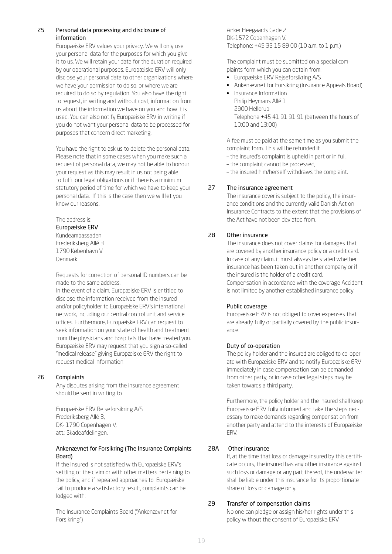# <span id="page-18-0"></span>25 Personal data processing and disclosure of information

Europæiske ERV values your privacy. We will only use your personal data for the purposes for which you give it to us. We will retain your data for the duration required by our operational purposes. Europæiske ERV will only disclose your personal data to other organizations where we have your permission to do so, or where we are required to do so by regulation. You also have the right to request, in writing and without cost, information from us about the information we have on you and how it is used. You can also notify Europæiske ERV in writing if you do not want your personal data to be processed for purposes that concern direct marketing.

You have the right to ask us to delete the personal data. Please note that in some cases when you make such a request of personal data, we may not be able to honour your request as this may result in us not being able to fulfil our legal obligations or if there is a minimum statutory period of time for which we have to keep your personal data. If this is the case then we will let you know our reasons.

# The address is:

Europæiske ERV

Kundeambassaden Frederiksberg Allé 3 1790 København V. Denmark

Requests for correction of personal ID numbers can be made to the same address.

In the event of a claim, Europæiske ERV is entitled to disclose the information received from the insured and/or policyholder to Europæiske ERV's international network, including our central control unit and service offices. Furthermore, Europæiske ERV can request to seek information on your state of health and treatment from the physicians and hospitals that have treated you. Europæiske ERV may request that you sign a so-called "medical release" giving Europæiske ERV the right to request medical information.

# 26 Complaints

Any disputes arising from the insurance agreement should be sent in writing to

Europæiske ERV Rejseforsikring A/S Frederiksberg Allé 3, DK- 1790 Copenhagen V, att.: Skadeafdelingen.

## Ankenævnet for Forsikring (The Insurance Complaints Board)

If the Insured is not satisfied with Europæiske ERV's settling of the claim or with other matters pertaining to the policy, and if repeated approaches to Europæiske fail to produce a satisfactory result, complaints can be lodged with:

The Insurance Complaints Board ("Ankenævnet for Forsikring")

Anker Heegaards Gade 2 DK-1572 Copenhagen V. Telephone: +45 33 15 89 00 (10 a.m. to 1 p.m.)

The complaint must be submitted on a special complaints form which you can obtain from:

- Europæiske ERV Rejseforsikring A/S
- Ankenævnet for Forsikring (Insurance Appeals Board)
- Insurance Information Philip Heymans Allé 1 2900 Hellerup Telephone +45 41 91 91 91 (between the hours of 10:00 and 13:00)

A fee must be paid at the same time as you submit the complaint form. This will be refunded if

- the insured's complaint is upheld in part or in full,
- the complaint cannot be processed,

– the insured him/herself withdraws the complaint.

# 27 The insurance agreement

The insurance cover is subject to the policy, the insurance conditions and the currently valid Danish Act on Insurance Contracts to the extent that the provisions of the Act have not been deviated from.

# 28 Other insurance

The insurance does not cover claims for damages that are covered by another insurance policy or a credit card. In case of any claim, it must always be stated whether insurance has been taken out in another company or if the insured is the holder of a credit card. Compensation in accordance with the coverage Accident is not limited by another established insurance policy.

# Public coverage

Europæiske ERV is not obliged to cover expenses that are already fully or partially covered by the public insurance.

# Duty of co-operation

The policy holder and the insured are obliged to co-operate with Europæiske ERV and to notify Europæiske ERV immediately in case compensation can be demanded from other party, or in case other legal steps may be taken towards a third party.

Furthermore, the policy holder and the insured shall keep Europæiske ERV fully informed and take the steps necessary to make demands regarding compensation from another party and attend to the interests of Europæiske ERV.

# 28A Other insurance

If, at the time that loss or damage insured by this certificate occurs, the insured has any other insurance against such loss or damage or any part thereof, the underwriter shall be liable under this insurance for its proportionate share of loss or damage only.

# 29 Transfer of compensation claims

No one can pledge or assign his/her rights under this policy without the consent of Europæiske ERV.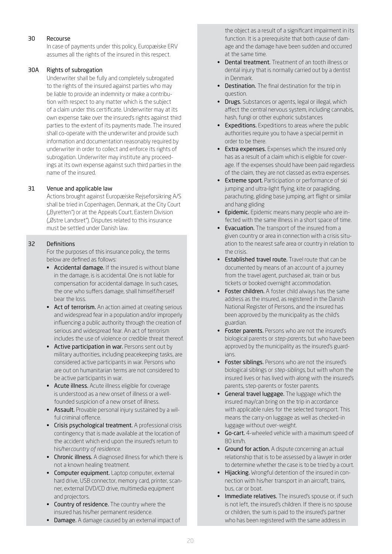# 30 Recourse

In case of payments under this policy, Europæiske ERV assumes all the rights of the insured in this respect.

# 30A Rights of subrogation

Underwriter shall be fully and completely subrogated to the rights of the insured against parties who may be liable to provide an indemnity or make a contribution with respect to any matter which is the subject of a claim under this certificate. Underwriter may at its own expense take over the insured's rights against third parties to the extent of its payments made. The insured shall co-operate with the underwriter and provide such information and documentation reasonably required by underwriter in order to collect and enforce its rights of subrogation. Underwriter may institute any proceedings at its own expense against such third parties in the name of the insured.

# 31 Venue and applicable law

Actions brought against Europæiske Rejseforsikring A/S shall be tried in Copenhagen, Denmark, at the City Court ("Byretten") or at the Appeals Court, Eastern Division ("Østre Landsret"). Disputes related to this insurance must be settled under Danish law.

# 32 Definitions

For the purposes of this insurance policy, the terms below are defined as follows:

- Accidental damage. If the insured is without blame in the damage, is is accidental. One is not liable for compensation for accidental damage. In such cases, the one who suffers damage, shall himself/herself bear the loss.
- Act of terrorism. An action aimed at creating serious and widespread fear in a population and/or improperly influencing a public authority through the creation of serious and widespread fear. An act of terrorism includes the use of violence or credible threat thereof.
- Active participation in war. Persons sent out by military authorities, including peacekeeping tasks, are considered active participants in war. Persons who are out on humanitarian terms are not considered to be active participants in war.
- Acute illness. Acute illness eligible for coverage is understood as a new onset of illness or a wellfounded suspicion of a new onset of illness.
- Assault. Provable personal injury sustained by a wilful criminal offence.
- Crisis psychological treatment. A professional crisis contingency that is made available at the location of the accident which end upon the insured's return to his/her*country of residence*.
- Chronic illness. A diagnosed illness for which there is not a known healing treatment.
- Computer equipment. Laptop computer, external hard drive, USB connector, memory card, printer, scanner, external DVD/CD drive, multimedia equipment and projectors.
- Country of residence. The country where the insured has his/her permanent residence.
- Damage. A damage caused by an external impact of

the object as a result of a significant impairment in its function. It is a prerequisite that both cause of damage and the damage have been sudden and occurred at the same time.

- Dental treatment. Treatment of an tooth illness or dental injury that is normally carried out by a dentist in Denmark.
- Destination. The final destination for the trip in question.
- Drugs. Substances or agents, legal or illegal, which affect the central nervous system, including cannabis, hash, fungi or other euphoric substances
- Expeditions. Expeditions to areas where the public authorities require you to have a special permit in order to be there.
- Extra expenses. Expenses which the insured only has as a result of a claim which is eligible for coverage. If the expenses should have been paid regardless of the claim, they are not classed as extra expenses.
- Extreme sport. Participation or performance of ski jumping and ultra-light flying, kite or paragliding, parachuting, gliding base jumping, art flight or similar and hang gliding
- **Epidemic.** Epidemic means many people who are infected with the same illness in a short space of time.
- Evacuation. The transport of the insured from a given country or area in connection with a crisis situation to the nearest safe area or country in relation to the crisis.
- Established travel route. Travel route that can be documented by means of an account of a journey from the travel agent, purchased air, train or bus tickets or booked overnight accommodation.
- Foster children. A foster child always has the same address as the insured, as registered in the Danish National Register of Persons, and the insured has been approved by the municipality as the child's guardian.
- Foster parents. Persons who are not the insured's biological parents or *step-parents*, but who have been approved by the municipality as the insured's guardians.
- Foster siblings. Persons who are not the insured's biological siblings or *step-siblings*, but with whom the insured lives or has lived with along with the insured's parents, step-parents or foster parents.
- General travel luggage. The luggage which the insured may/can bring on the trip in accordance with applicable rules for the selected transport. This means the carry-on luggage as well as checked-in luggage without over-weight.
- Go-cart. 4-wheeled vehicle with a maximum speed of 80 km/h.
- Ground for action. A dispute concerning an actual relationship that is to be assessed by a lawyer in order to determine whether the case is to be tried by a court.
- Hijacking. Wrongful detention of the insured in connection with his/her transport in an aircraft, trains, bus, car or boat.
- Immediate relatives. The insured's spouse or, if such is not left, the insured's children. If there is no spouse or children, the sum is paid to the insured's partner who has been registered with the same address in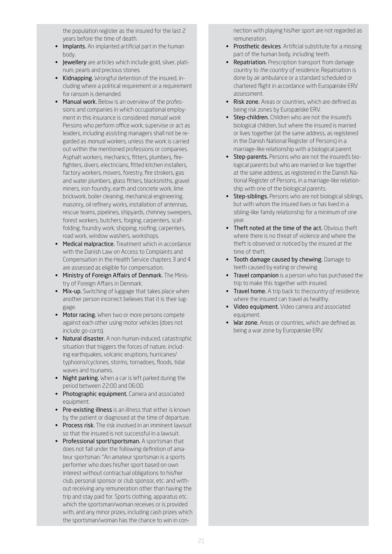the population register as the insured for the last 2 years before the time of death.

- Implants. An implanted artificial part in the human body.
- Jewellery are articles which include gold, silver, platinum, pearls and precious stones.
- Kidnapping. Wrongful detention of the insured, including where a political requirement or a requirement for ransom is demanded.
- Manual work. Below is an overview of the professions and companies in which occupational employment in this insurance is considered *manual work*. Persons who perform office work, supervise or act as leaders, including assisting managers shall not be regarded as *manual work*ers, unless the work is carried out within the mentioned professions or companies. Asphalt workers, mechanics, fitters, plumbers, firefighters, divers, electricians, fitted kitchen installers, factory workers, movers, forestry, fire strokers, gas and water plumbers, glass fitters, blacksmiths, gravel miners, iron foundry, earth and concrete work, lime brickwork, boiler cleaning, mechanical engineering, masonry, oil refinery works, installation of antennas, rescue teams, pipelines, shipyards, chimney sweepers, forest workers, butchers, forging, carpenters, scaffolding, foundry work, shipping, roofing, carpenters, road work, window washers, workshops.
- Medical malpractice. Treatment which in accordance with the Danish Law on Access to Complaints and Compensation in the Health Service chapters 3 and 4 are assessed as eligible for compensation.
- Ministry of Foreign Affairs of Denmark. The Ministry of Foreign Affairs in Denmark.
- Mix-up. Switching of luggage that takes place when another person incorrect believes that it is their luggage.
- Motor racing. When two or more persons compete against each other using motor vehicles (does not include *go-carts*).
- Natural disaster. A non-human-induced, catastrophic situation that triggers the forces of nature, including earthquakes, volcanic eruptions, hurricanes/ typhoons/cyclones, storms, tornadoes, floods, tidal waves and tsunamis.
- Night parking. When a car is left parked during the period between 22:00 and 06:00.
- Photographic equipment. Camera and associated equipment.
- Pre-existing illness is an illness that either is known by the patient or diagnosed at the time of departure.
- Process risk. The risk involved in an imminent lawsuit so that the insured is not successful in a lawsuit.
- Professional sport/sportsman. A sportsman that does not fall under the following definition of amateur sportsman: "An amateur sportsman is a sports performer who does his/her sport based on own interest without contractual obligations to his/her club, personal sponsor or club sponsor, etc. and without receiving any remuneration other than having the trip and stay paid for. Sports clothing, apparatus etc. which the sportsman/woman receives or is provided with, and any minor prizes, including cash prizes which the sportsman/woman has the chance to win in con-

nection with playing his/her sport are not regarded as remuneration.

- Prosthetic devices. Artificial substitute for a missing part of the human body, including teeth.
- Repatriation. Prescription transport from damage country to *the country of residence*. Repatriation is done by air ambulance or a standard scheduled or chartered flight in accordance with Europæiske ERV assessment.
- Risk zone. Areas or countries, which are defined as being risk zones by Europæiske ERV.
- Step-children. Children who are not the insured's biological children, but where the insured is married or lives together (at the same address, as registered in the Danish National Register of Persons) in a marriage-like relationship with a biological parent.
- Step-parents. Persons who are not the insured's biological parents but who are married or live together at the same address, as registered in the Danish National Register of Persons, in a marriage-like relationship with one of the biological parents.
- Step-siblings. Persons who are not biological siblings, but with whom the insured lives or has lived in a sibling-like family relationship for a minimum of one year.
- Theft noted at the time of the act. Obvious theft where there is no threat of violence and where the theft is observed or noticed by the insured at the time of theft.
- Tooth damage caused by chewing. Damage to teeth caused by eating or chewing.
- Travel companion is a person who has purchased the trip to make this together with insured.
- Travel home. A trip back to the*country of residence*, where the insured can travel as healthy.
- Video equipment. Video camera and associated equipment.
- War zone. Areas or countries, which are defined as being a war zone by Europæiske ERV.